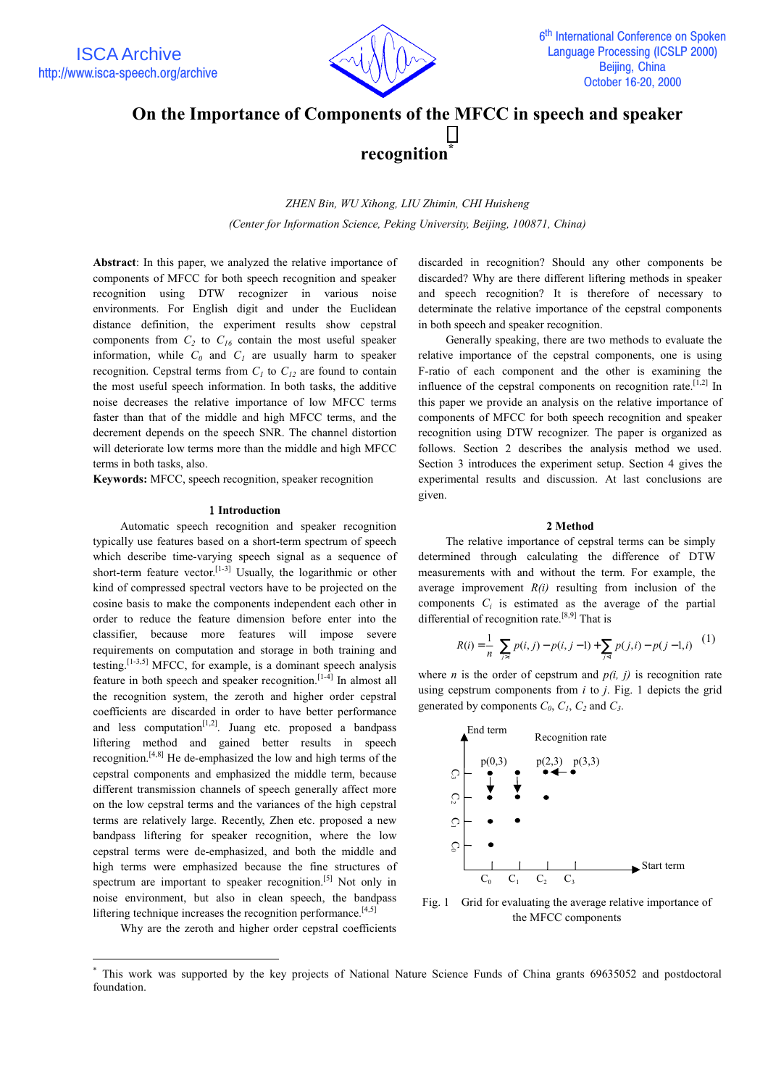

# On the Importance of Components of the MFCC in speech and speaker

## recognition

ZHEN Bin, WU Xihong, LIU Zhimin, CHI Huisheng (Center for Information Science, Peking University, Beijing, 100871, China)

Abstract: In this paper, we analyzed the relative importance of components of MFCC for both speech recognition and speaker recognition using DTW recognizer in various noise environments. For English digit and under the Euclidean distance definition, the experiment results show cepstral components from  $C_2$  to  $C_{16}$  contain the most useful speaker information, while  $C_0$  and  $C_1$  are usually harm to speaker recognition. Cepstral terms from  $C<sub>1</sub>$  to  $C<sub>12</sub>$  are found to contain the most useful speech information. In both tasks, the additive noise decreases the relative importance of low MFCC terms faster than that of the middle and high MFCC terms, and the decrement depends on the speech SNR. The channel distortion will deteriorate low terms more than the middle and high MFCC terms in both tasks, also.

Keywords: MFCC, speech recognition, speaker recognition

#### 1 Introduction

Automatic speech recognition and speaker recognition typically use features based on a short-term spectrum of speech which describe time-varying speech signal as a sequence of short-term feature vector.<sup>[1-3]</sup> Usually, the logarithmic or other kind of compressed spectral vectors have to be projected on the cosine basis to make the components independent each other in order to reduce the feature dimension before enter into the classifier, because more features will impose severe requirements on computation and storage in both training and testing.  $[1-3,5]$  MFCC, for example, is a dominant speech analysis feature in both speech and speaker recognition.<sup>[1-4]</sup> In almost all the recognition system, the zeroth and higher order cepstral coefficients are discarded in order to have better performance and less computation<sup>[1,2]</sup>. Juang etc. proposed a bandpass liftering method and gained better results in speech recognition.  $[4,8]$  He de-emphasized the low and high terms of the cepstral components and emphasized the middle term, because different transmission channels of speech generally affect more on the low cepstral terms and the variances of the high cepstral terms are relatively large. Recently, Zhen etc. proposed a new bandpass liftering for speaker recognition, where the low cepstral terms were de-emphasized, and both the middle and high terms were emphasized because the fine structures of spectrum are important to speaker recognition.<sup>[5]</sup> Not only in noise environment, but also in clean speech, the bandpass liftering technique increases the recognition performance.<sup>[4,5]</sup>

Why are the zeroth and higher order censtral coefficients

discarded in recognition? Should any other components be discarded? Why are there different liftering methods in speaker and speech recognition? It is therefore of necessary to determinate the relative importance of the cepstral components in both speech and speaker recognition.

Generally speaking, there are two methods to evaluate the relative importance of the cepstral components, one is using F-ratio of each component and the other is examining the influence of the cepstral components on recognition rate.  $[1,2]$  In this paper we provide an analysis on the relative importance of components of MFCC for both speech recognition and speaker recognition using DTW recognizer. The paper is organized as follows. Section 2 describes the analysis method we used. Section 3 introduces the experiment setup. Section 4 gives the experimental results and discussion. At last conclusions are given.

#### 2 Method

The relative importance of cepstral terms can be simply determined through calculating the difference of DTW measurements with and without the term. For example, the average improvement  $R(i)$  resulting from inclusion of the components  $C_i$  is estimated as the average of the partial differential of recognition rate.<sup>[8,9]</sup> That is

$$
R(i) = \frac{1}{n} \left( \sum_{j>i} p(i, j) - p(i, j - 1) + \sum_{j
$$

where *n* is the order of cepstrum and  $p(i, j)$  is recognition rate using cepstrum components from  $i$  to  $j$ . Fig. 1 depicts the grid generated by components  $C_0$ ,  $C_1$ ,  $C_2$  and  $C_3$ .



Fig. 1 Grid for evaluating the average relative importance of the MFCC components

This work was supported by the key projects of National Nature Science Funds of China grants 69635052 and postdoctoral foundation.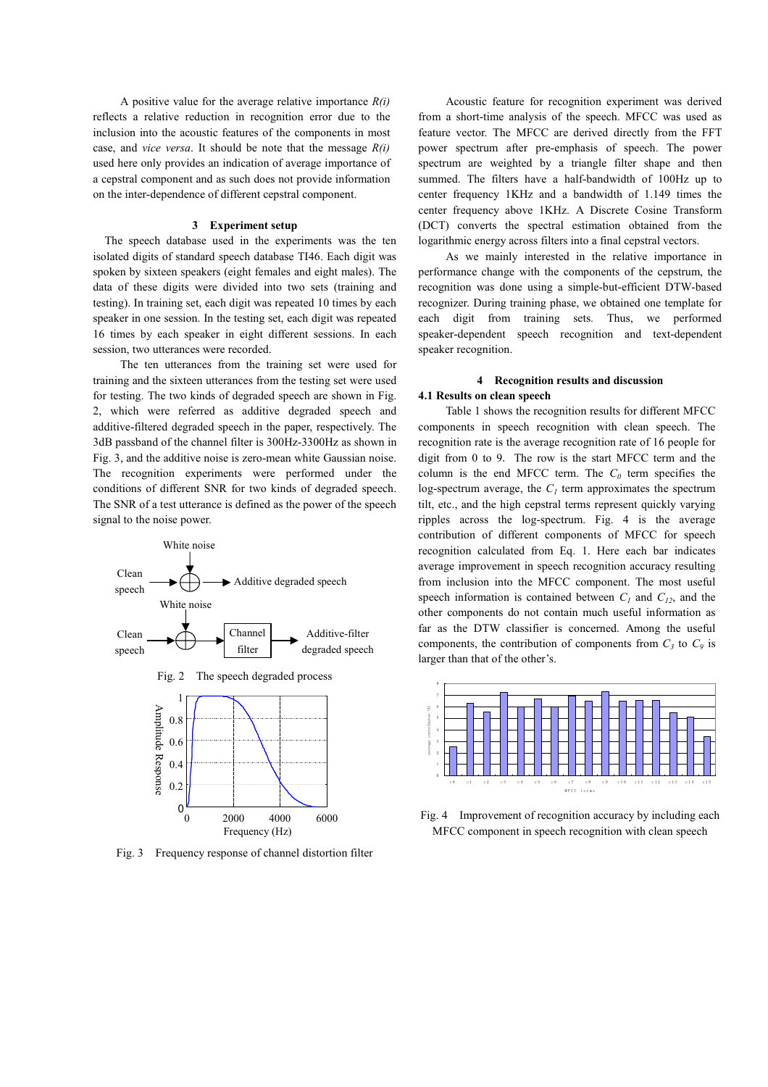A positive value for the average relative importance  $R(i)$ reflects a relative reduction in recognition error due to the inclusion into the acoustic features of the components in most case, and *vice versa*. It should be note that the message  $R(i)$ used here only provides an indication of average importance of a cepstral component and as such does not provide information on the inter-dependence of different cepstral component.

#### 3 Experiment setup

The speech database used in the experiments was the ten isolated digits of standard speech database TI46. Each digit was spoken by sixteen speakers (eight females and eight males). The data of these digits were divided into two sets (training and testing). In training set, each digit was repeated 10 times by each speaker in one session. In the testing set, each digit was repeated 16 times by each speaker in eight different sessions. In each session, two utterances were recorded.

The ten utterances from the training set were used for training and the sixteen utterances from the testing set were used for testing. The two kinds of degraded speech are shown in Fig. 2, which were referred as additive degraded speech and additive-filtered degraded speech in the paper, respectively. The 3dB passband of the channel filter is 300Hz-3300Hz as shown in Fig. 3, and the additive noise is zero-mean white Gaussian noise. The recognition experiments were performed under the conditions of different SNR for two kinds of degraded speech. The SNR of a test utterance is defined as the power of the speech signal to the noise power.



Fig. 3 Frequency response of channel distortion filter

Acoustic feature for recognition experiment was derived from a short-time analysis of the speech. MFCC was used as feature vector. The MFCC are derived directly from the FFT power spectrum after pre-emphasis of speech. The power spectrum are weighted by a triangle filter shape and then summed. The filters have a half-bandwidth of 100Hz up to center frequency 1KHz and a bandwidth of 1.149 times the center frequency above 1KHz. A Discrete Cosine Transform (DCT) converts the spectral estimation obtained from the logarithmic energy across filters into a final cepstral vectors.

As we mainly interested in the relative importance in performance change with the components of the cepstrum, the recognition was done using a simple-but-efficient DTW-based recognizer. During training phase, we obtained one template for each digit from training sets. Thus, we performed speaker-dependent speech recognition and text-dependent speaker recognition.

### 4 Recognition results and discussion 4.1 Results on clean speech

Table 1 shows the recognition results for different MFCC components in speech recognition with clean speech. The recognition rate is the average recognition rate of 16 people for digit from 0 to 9. The row is the start MFCC term and the column is the end MFCC term. The  $C_0$  term specifies the log-spectrum average, the  $C<sub>l</sub>$  term approximates the spectrum tilt, etc., and the high cepstral terms represent quickly varying ripples across the log-spectrum. Fig. 4 is the average contribution of different components of MFCC for speech recognition calculated from Eq. 1. Here each bar indicates average improvement in speech recognition accuracy resulting from inclusion into the MFCC component. The most useful speech information is contained between  $C_1$  and  $C_{12}$ , and the other components do not contain much useful information as far as the DTW classifier is concerned. Among the useful components, the contribution of components from  $C_3$  to  $C_9$  is larger than that of the other's.



Fig. 4 Improvement of recognition accuracy by including each MFCC component in speech recognition with clean speech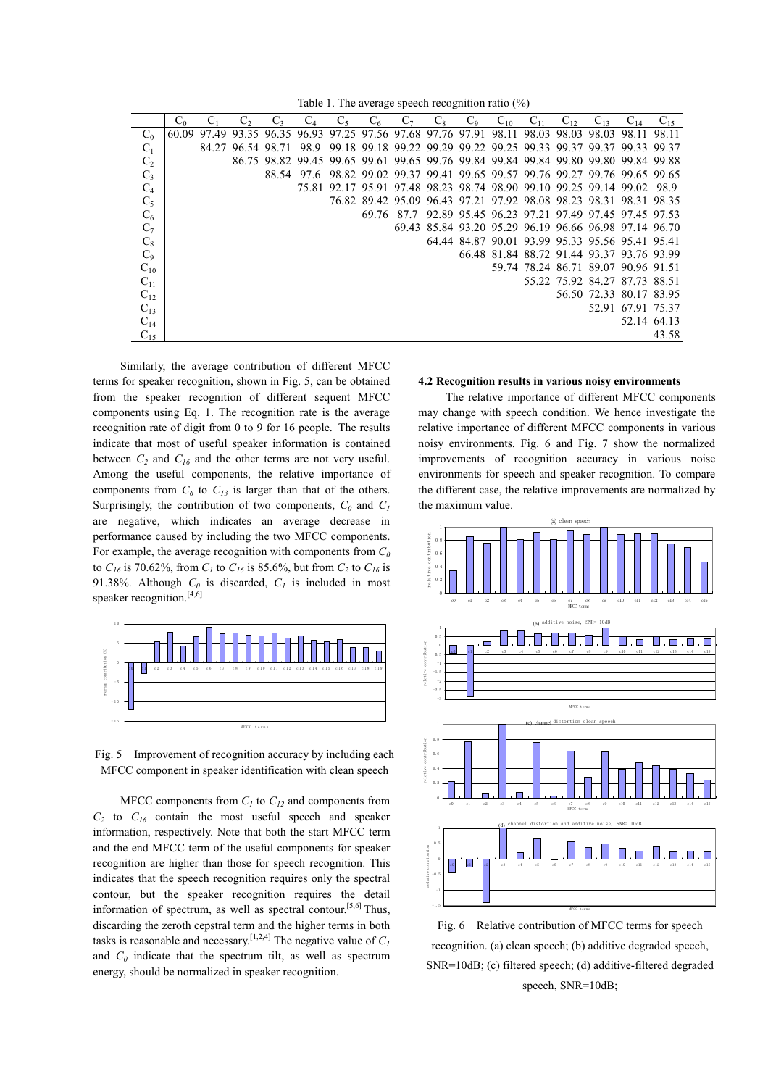Table 1. The average speech recognition ratio  $(\%)$ 

|                | $C_0$ |       |                   | $C_{3}$ | C <sub>4</sub> | $C_5$ | $C_6$ | $C_7$ | $C_8$ | $C_9$ | $C_{10}$ | $C_{11}$ | $C_{12}$ | $C_{13}$                                                                            | $C_{14}$          |       |
|----------------|-------|-------|-------------------|---------|----------------|-------|-------|-------|-------|-------|----------|----------|----------|-------------------------------------------------------------------------------------|-------------------|-------|
| $C_0$          | 60.09 | 97.49 |                   |         |                |       |       |       |       |       |          |          |          | 93.35 96.35 96.93 97.25 97.56 97.68 97.76 97.91 98.11 98.03 98.03 98.03 98.11       |                   | 98.11 |
| $C_1$          |       |       | 84.27 96.54 98.71 |         | 98.9           |       |       |       |       |       |          |          |          | 99.18 99.18 99.22 99.29 99.22 99.25 99.33 99.37 99.37 99.33 99.37                   |                   |       |
| C <sub>2</sub> |       |       |                   |         |                |       |       |       |       |       |          |          |          | 86.75 98.82 99.45 99.65 99.61 99.65 99.76 99.84 99.84 99.84 99.80 99.80 99.84 99.88 |                   |       |
| $\mathrm{C}_3$ |       |       |                   |         | 88.54 97.6     |       |       |       |       |       |          |          |          | 98.82 99.02 99.37 99.41 99.65 99.57 99.76 99.27 99.76 99.65 99.65                   |                   |       |
| $C_4$          |       |       |                   |         |                |       |       |       |       |       |          |          |          | 75.81 92.17 95.91 97.48 98.23 98.74 98.90 99.10 99.25 99.14 99.02                   |                   | -98.9 |
| $C_5$          |       |       |                   |         |                |       |       |       |       |       |          |          |          | 76.82 89.42 95.09 96.43 97.21 97.92 98.08 98.23 98.31 98.31 98.35                   |                   |       |
| $\mathrm{C}_6$ |       |       |                   |         |                |       | 69.76 |       |       |       |          |          |          | 87.7 92.89 95.45 96.23 97.21 97.49 97.45 97.45 97.53                                |                   |       |
| $C_7$          |       |       |                   |         |                |       |       |       |       |       |          |          |          | 69.43 85.84 93.20 95.29 96.19 96.66 96.98 97.14 96.70                               |                   |       |
| $C_8$          |       |       |                   |         |                |       |       |       |       |       |          |          |          | 64.44 84.87 90.01 93.99 95.33 95.56 95.41 95.41                                     |                   |       |
| $C_9$          |       |       |                   |         |                |       |       |       |       |       |          |          |          | 66.48 81.84 88.72 91.44 93.37 93.76 93.99                                           |                   |       |
| $C_{10}$       |       |       |                   |         |                |       |       |       |       |       |          |          |          | 59.74 78.24 86.71 89.07 90.96 91.51                                                 |                   |       |
| $C_{11}$       |       |       |                   |         |                |       |       |       |       |       |          |          |          | 55.22 75.92 84.27 87.73 88.51                                                       |                   |       |
| $C_{12}$       |       |       |                   |         |                |       |       |       |       |       |          |          |          | 56.50 72.33 80.17 83.95                                                             |                   |       |
| $C_{13}$       |       |       |                   |         |                |       |       |       |       |       |          |          |          |                                                                                     | 52.91 67.91 75.37 |       |
| $C_{14}$       |       |       |                   |         |                |       |       |       |       |       |          |          |          |                                                                                     | 52.14 64.13       |       |
| $C_{15}$       |       |       |                   |         |                |       |       |       |       |       |          |          |          |                                                                                     |                   | 43.58 |

Similarly, the average contribution of different MFCC terms for speaker recognition, shown in Fig. 5, can be obtained from the speaker recognition of different sequent MFCC components using Eq. 1. The recognition rate is the average recognition rate of digit from 0 to 9 for 16 people. The results indicate that most of useful speaker information is contained between  $C_2$  and  $C_{16}$  and the other terms are not very useful. Among the useful components, the relative importance of components from  $C_6$  to  $C_{13}$  is larger than that of the others. Surprisingly, the contribution of two components,  $C_0$  and  $C_1$ are negative, which indicates an average decrease in performance caused by including the two MFCC components. For example, the average recognition with components from  $C_0$ to  $C_{16}$  is 70.62%, from  $C_1$  to  $C_{16}$  is 85.6%, but from  $C_2$  to  $C_{16}$  is 91.38%. Although  $C_0$  is discarded,  $C_1$  is included in most speaker recognition.<sup>[4,6]</sup>



Fig. 5 Improvement of recognition accuracy by including each MFCC component in speaker identification with clean speech

MFCC components from  $C<sub>1</sub>$  to  $C<sub>12</sub>$  and components from  $C_2$  to  $C_{16}$  contain the most useful speech and speaker information, respectively. Note that both the start MFCC term and the end MFCC term of the useful components for speaker recognition are higher than those for speech recognition. This indicates that the speech recognition requires only the spectral contour, but the speaker recognition requires the detail information of spectrum, as well as spectral contour.<sup>[5,6]</sup> Thus, discarding the zeroth cepstral term and the higher terms in both tasks is reasonable and necessary. [1,2,4] The negative value of  $C_1$ and  $C_0$  indicate that the spectrum tilt, as well as spectrum energy, should be normalized in speaker recognition.

#### 4.2 Recognition results in various noisy environments

The relative importance of different MFCC components may change with speech condition. We hence investigate the relative importance of different MFCC components in various noisy environments. Fig. 6 and Fig. 7 show the normalized improvements of recognition accuracy in various noise environments for speech and speaker recognition. To compare the different case, the relative improvements are normalized by the maximum value.



Fig. 6 Relative contribution of MFCC terms for speech recognition. (a) clean speech; (b) additive degraded speech, SNR=10dB; (c) filtered speech; (d) additive-filtered degraded speech. SNR=10dB: